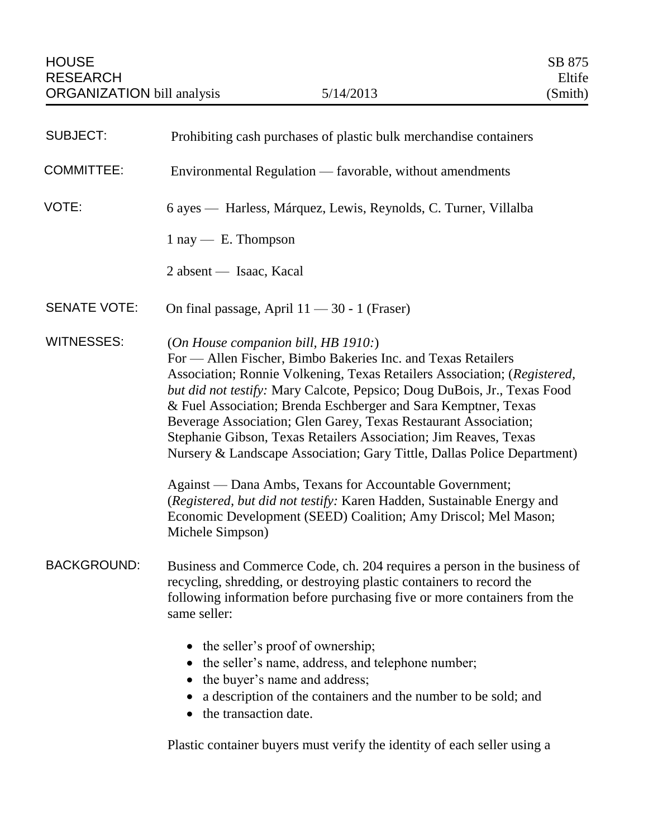| <b>SUBJECT:</b>     | Prohibiting cash purchases of plastic bulk merchandise containers                                                                                                                                                                                                                                                                                                                                                                                                                                                                                                                                                                                                                                                                                                          |
|---------------------|----------------------------------------------------------------------------------------------------------------------------------------------------------------------------------------------------------------------------------------------------------------------------------------------------------------------------------------------------------------------------------------------------------------------------------------------------------------------------------------------------------------------------------------------------------------------------------------------------------------------------------------------------------------------------------------------------------------------------------------------------------------------------|
| <b>COMMITTEE:</b>   | Environmental Regulation — favorable, without amendments                                                                                                                                                                                                                                                                                                                                                                                                                                                                                                                                                                                                                                                                                                                   |
| VOTE:               | 6 ayes — Harless, Márquez, Lewis, Reynolds, C. Turner, Villalba                                                                                                                                                                                                                                                                                                                                                                                                                                                                                                                                                                                                                                                                                                            |
|                     | $1 \text{ ray} - E$ . Thompson                                                                                                                                                                                                                                                                                                                                                                                                                                                                                                                                                                                                                                                                                                                                             |
|                     | 2 absent — Isaac, Kacal                                                                                                                                                                                                                                                                                                                                                                                                                                                                                                                                                                                                                                                                                                                                                    |
| <b>SENATE VOTE:</b> | On final passage, April $11 - 30 - 1$ (Fraser)                                                                                                                                                                                                                                                                                                                                                                                                                                                                                                                                                                                                                                                                                                                             |
| <b>WITNESSES:</b>   | (On House companion bill, HB 1910.)<br>For — Allen Fischer, Bimbo Bakeries Inc. and Texas Retailers<br>Association; Ronnie Volkening, Texas Retailers Association; (Registered,<br>but did not testify: Mary Calcote, Pepsico; Doug DuBois, Jr., Texas Food<br>& Fuel Association; Brenda Eschberger and Sara Kemptner, Texas<br>Beverage Association; Glen Garey, Texas Restaurant Association;<br>Stephanie Gibson, Texas Retailers Association; Jim Reaves, Texas<br>Nursery & Landscape Association; Gary Tittle, Dallas Police Department)<br>Against — Dana Ambs, Texans for Accountable Government;<br>(Registered, but did not testify: Karen Hadden, Sustainable Energy and<br>Economic Development (SEED) Coalition; Amy Driscol; Mel Mason;<br>Michele Simpson) |
| <b>BACKGROUND:</b>  | Business and Commerce Code, ch. 204 requires a person in the business of<br>recycling, shredding, or destroying plastic containers to record the<br>following information before purchasing five or more containers from the<br>same seller:<br>• the seller's proof of ownership;<br>the seller's name, address, and telephone number;<br>the buyer's name and address;<br>a description of the containers and the number to be sold; and                                                                                                                                                                                                                                                                                                                                 |
|                     | the transaction date.<br>Plastic container buyers must verify the identity of each seller using a                                                                                                                                                                                                                                                                                                                                                                                                                                                                                                                                                                                                                                                                          |
|                     |                                                                                                                                                                                                                                                                                                                                                                                                                                                                                                                                                                                                                                                                                                                                                                            |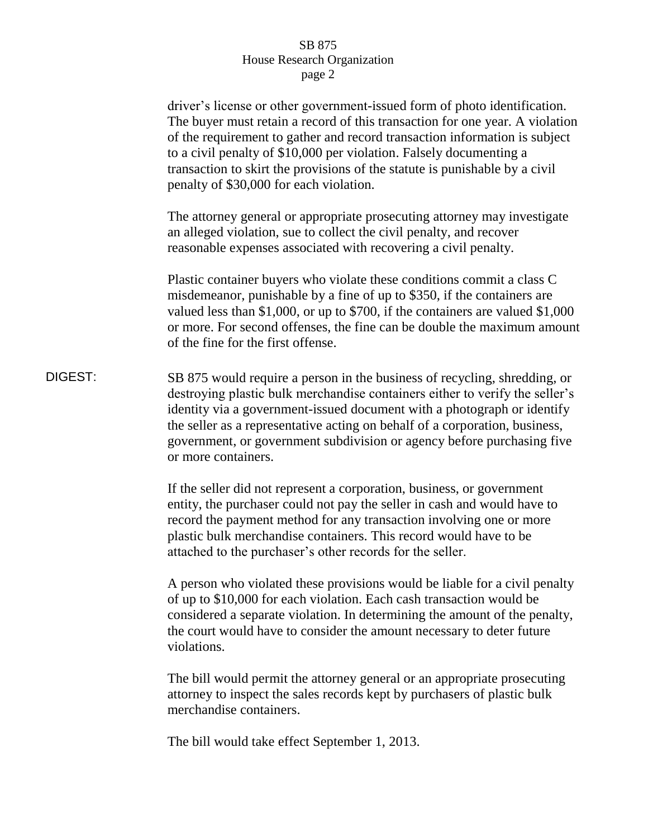## SB 875 House Research Organization page 2

|         | driver's license or other government-issued form of photo identification.<br>The buyer must retain a record of this transaction for one year. A violation<br>of the requirement to gather and record transaction information is subject<br>to a civil penalty of \$10,000 per violation. Falsely documenting a<br>transaction to skirt the provisions of the statute is punishable by a civil<br>penalty of \$30,000 for each violation. |
|---------|------------------------------------------------------------------------------------------------------------------------------------------------------------------------------------------------------------------------------------------------------------------------------------------------------------------------------------------------------------------------------------------------------------------------------------------|
|         | The attorney general or appropriate prosecuting attorney may investigate<br>an alleged violation, sue to collect the civil penalty, and recover<br>reasonable expenses associated with recovering a civil penalty.                                                                                                                                                                                                                       |
|         | Plastic container buyers who violate these conditions commit a class C<br>misdemeanor, punishable by a fine of up to \$350, if the containers are<br>valued less than \$1,000, or up to \$700, if the containers are valued \$1,000<br>or more. For second offenses, the fine can be double the maximum amount<br>of the fine for the first offense.                                                                                     |
| DIGEST: | SB 875 would require a person in the business of recycling, shredding, or<br>destroying plastic bulk merchandise containers either to verify the seller's<br>identity via a government-issued document with a photograph or identify<br>the seller as a representative acting on behalf of a corporation, business,<br>government, or government subdivision or agency before purchasing five<br>or more containers.                     |
|         | If the seller did not represent a corporation, business, or government<br>entity, the purchaser could not pay the seller in cash and would have to<br>record the payment method for any transaction involving one or more<br>plastic bulk merchandise containers. This record would have to be<br>attached to the purchaser's other records for the seller.                                                                              |
|         | A person who violated these provisions would be liable for a civil penalty<br>of up to \$10,000 for each violation. Each cash transaction would be<br>considered a separate violation. In determining the amount of the penalty,<br>the court would have to consider the amount necessary to deter future<br>violations.                                                                                                                 |
|         | The bill would permit the attorney general or an appropriate prosecuting<br>attorney to inspect the sales records kept by purchasers of plastic bulk<br>merchandise containers.                                                                                                                                                                                                                                                          |
|         | The bill would take effect September 1, 2013.                                                                                                                                                                                                                                                                                                                                                                                            |
|         |                                                                                                                                                                                                                                                                                                                                                                                                                                          |